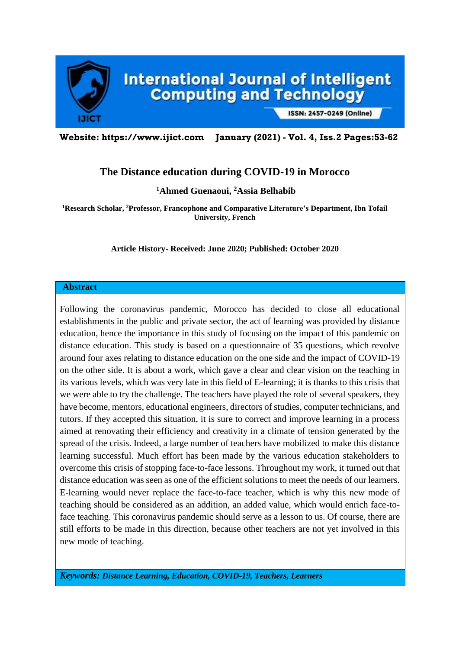

ISSN: 2457-0249 (Online)

**Website: https://www.ijict.com January (2021) - Vol. 4, Iss.2 Pages:53-62**

# **The Distance education during COVID-19 in Morocco**

**<sup>1</sup>Ahmed Guenaoui, <sup>2</sup>Assia Belhabib**

**<sup>1</sup>Research Scholar, <sup>2</sup>Professor, Francophone and Comparative Literature's Department, Ibn Tofail University, French**

#### **Article History- Received: June 2020; Published: October 2020**

#### **Abstract**

Following the coronavirus pandemic, Morocco has decided to close all educational establishments in the public and private sector, the act of learning was provided by distance education, hence the importance in this study of focusing on the impact of this pandemic on distance education. This study is based on a questionnaire of 35 questions, which revolve around four axes relating to distance education on the one side and the impact of COVID-19 on the other side. It is about a work, which gave a clear and clear vision on the teaching in its various levels, which was very late in this field of E-learning; it is thanks to this crisis that we were able to try the challenge. The teachers have played the role of several speakers, they have become, mentors, educational engineers, directors of studies, computer technicians, and tutors. If they accepted this situation, it is sure to correct and improve learning in a process aimed at renovating their efficiency and creativity in a climate of tension generated by the spread of the crisis. Indeed, a large number of teachers have mobilized to make this distance learning successful. Much effort has been made by the various education stakeholders to overcome this crisis of stopping face-to-face lessons. Throughout my work, it turned out that distance education was seen as one of the efficient solutions to meet the needs of our learners. E-learning would never replace the face-to-face teacher, which is why this new mode of teaching should be considered as an addition, an added value, which would enrich face-toface teaching. This coronavirus pandemic should serve as a lesson to us. Of course, there are still efforts to be made in this direction, because other teachers are not yet involved in this new mode of teaching.

*Keywords: Distance Learning, Education, COVID-19, Teachers, Learners*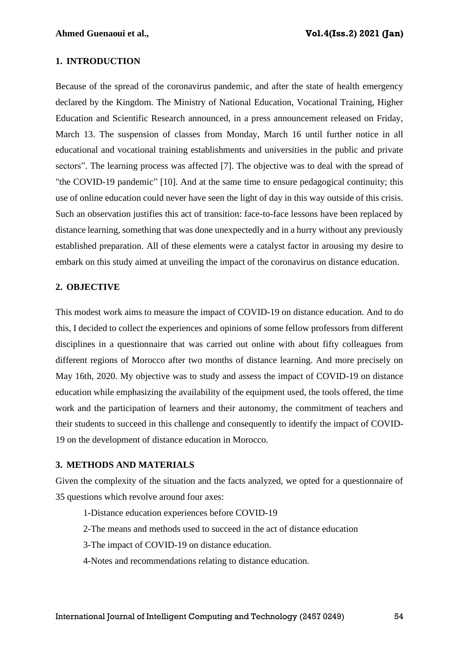#### **1. INTRODUCTION**

Because of the spread of the coronavirus pandemic, and after the state of health emergency declared by the Kingdom. The Ministry of National Education, Vocational Training, Higher Education and Scientific Research announced, in a press announcement released on Friday, March 13. The suspension of classes from Monday, March 16 until further notice in all educational and vocational training establishments and universities in the public and private sectors". The learning process was affected [7]. The objective was to deal with the spread of "the COVID-19 pandemic" [10]. And at the same time to ensure pedagogical continuity; this use of online education could never have seen the light of day in this way outside of this crisis. Such an observation justifies this act of transition: face-to-face lessons have been replaced by distance learning, something that was done unexpectedly and in a hurry without any previously established preparation. All of these elements were a catalyst factor in arousing my desire to embark on this study aimed at unveiling the impact of the coronavirus on distance education.

#### **2. OBJECTIVE**

This modest work aims to measure the impact of COVID-19 on distance education. And to do this, I decided to collect the experiences and opinions of some fellow professors from different disciplines in a questionnaire that was carried out online with about fifty colleagues from different regions of Morocco after two months of distance learning. And more precisely on May 16th, 2020. My objective was to study and assess the impact of COVID-19 on distance education while emphasizing the availability of the equipment used, the tools offered, the time work and the participation of learners and their autonomy, the commitment of teachers and their students to succeed in this challenge and consequently to identify the impact of COVID-19 on the development of distance education in Morocco.

#### **3. METHODS AND MATERIALS**

Given the complexity of the situation and the facts analyzed, we opted for a questionnaire of 35 questions which revolve around four axes:

- 1-Distance education experiences before COVID-19
- 2-The means and methods used to succeed in the act of distance education
- 3-The impact of COVID-19 on distance education.
- 4-Notes and recommendations relating to distance education.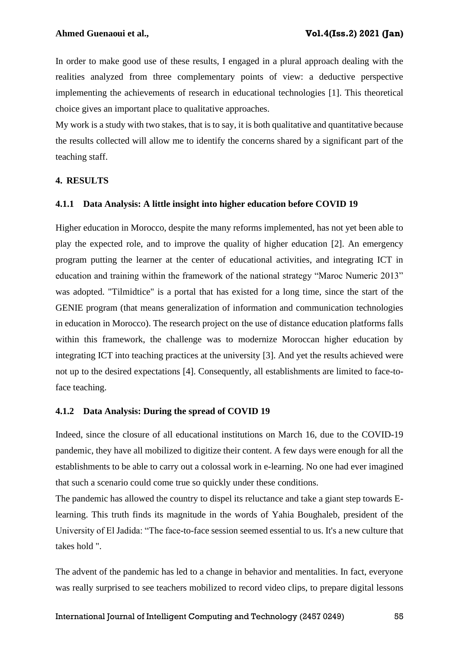In order to make good use of these results, I engaged in a plural approach dealing with the realities analyzed from three complementary points of view: a deductive perspective implementing the achievements of research in educational technologies [1]. This theoretical choice gives an important place to qualitative approaches.

My work is a study with two stakes, that is to say, it is both qualitative and quantitative because the results collected will allow me to identify the concerns shared by a significant part of the teaching staff.

## **4. RESULTS**

## **4.1.1 Data Analysis: A little insight into higher education before COVID 19**

Higher education in Morocco, despite the many reforms implemented, has not yet been able to play the expected role, and to improve the quality of higher education [2]. An emergency program putting the learner at the center of educational activities, and integrating ICT in education and training within the framework of the national strategy "Maroc Numeric 2013" was adopted. "Tilmidtice" is a portal that has existed for a long time, since the start of the GENIE program (that means generalization of information and communication technologies in education in Morocco). The research project on the use of distance education platforms falls within this framework, the challenge was to modernize Moroccan higher education by integrating ICT into teaching practices at the university [3]. And yet the results achieved were not up to the desired expectations [4]. Consequently, all establishments are limited to face-toface teaching.

## **4.1.2 Data Analysis: During the spread of COVID 19**

Indeed, since the closure of all educational institutions on March 16, due to the COVID-19 pandemic, they have all mobilized to digitize their content. A few days were enough for all the establishments to be able to carry out a colossal work in e-learning. No one had ever imagined that such a scenario could come true so quickly under these conditions.

The pandemic has allowed the country to dispel its reluctance and take a giant step towards Elearning. This truth finds its magnitude in the words of Yahia Boughaleb, president of the University of El Jadida: "The face-to-face session seemed essential to us. It's a new culture that takes hold ".

The advent of the pandemic has led to a change in behavior and mentalities. In fact, everyone was really surprised to see teachers mobilized to record video clips, to prepare digital lessons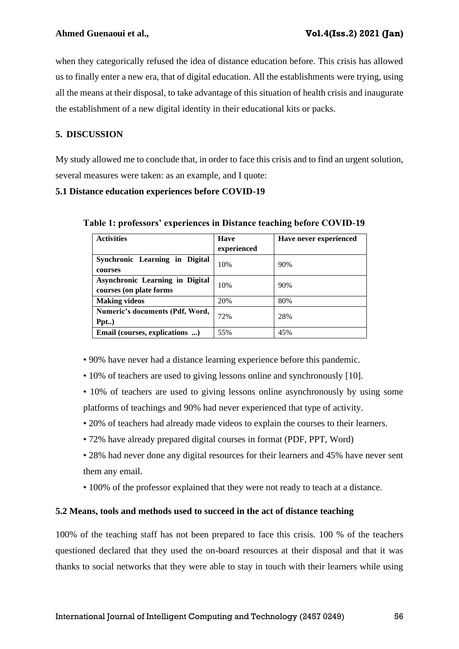when they categorically refused the idea of distance education before. This crisis has allowed us to finally enter a new era, that of digital education. All the establishments were trying, using all the means at their disposal, to take advantage of this situation of health crisis and inaugurate the establishment of a new digital identity in their educational kits or packs.

## **5. DISCUSSION**

My study allowed me to conclude that, in order to face this crisis and to find an urgent solution, several measures were taken: as an example, and I quote:

## **5.1 Distance education experiences before COVID-19**

| <b>Activities</b>                                                 | <b>Have</b><br>experienced | Have never experienced |
|-------------------------------------------------------------------|----------------------------|------------------------|
| Synchronic Learning in Digital<br>courses                         | 10%                        | 90%                    |
| <b>Asynchronic Learning in Digital</b><br>courses (on plate forms | 10%                        | 90%                    |
| <b>Making videos</b>                                              | 20%                        | 80%                    |
| Numeric's documents (Pdf, Word,<br>Ppt)                           | 72%                        | 28%                    |
| Email (courses, explications )                                    | 55%                        | 45%                    |

**Table 1: professors' experiences in Distance teaching before COVID-19**

• 90% have never had a distance learning experience before this pandemic.

- 10% of teachers are used to giving lessons online and synchronously [10].
- 10% of teachers are used to giving lessons online asynchronously by using some platforms of teachings and 90% had never experienced that type of activity.
- 20% of teachers had already made videos to explain the courses to their learners.
- 72% have already prepared digital courses in format (PDF, PPT, Word)
- 28% had never done any digital resources for their learners and 45% have never sent them any email.
- 100% of the professor explained that they were not ready to teach at a distance.

## **5.2 Means, tools and methods used to succeed in the act of distance teaching**

100% of the teaching staff has not been prepared to face this crisis. 100 % of the teachers questioned declared that they used the on-board resources at their disposal and that it was thanks to social networks that they were able to stay in touch with their learners while using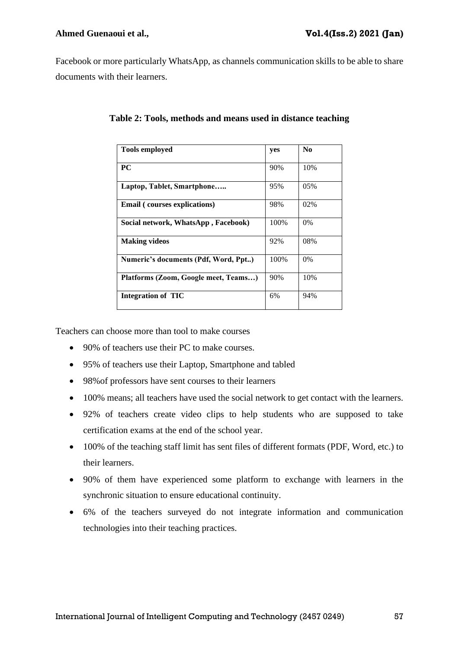Facebook or more particularly WhatsApp, as channels communication skills to be able to share documents with their learners.

| <b>Tools employed</b>                | yes  | N <sub>0</sub> |
|--------------------------------------|------|----------------|
| PC                                   | 90%  | 10%            |
| Laptop, Tablet, Smartphone           | 95%  | 05%            |
| <b>Email</b> (courses explications)  | 98%  | 02%            |
| Social network, WhatsApp, Facebook)  | 100% | $0\%$          |
| <b>Making videos</b>                 | 92%  | 08%            |
| Numeric's documents (Pdf, Word, Ppt) | 100% | $0\%$          |
| Platforms (Zoom, Google meet, Teams) | 90%  | 10%            |
| <b>Integration of TIC</b>            | 6%   | 94%            |

**Table 2: Tools, methods and means used in distance teaching**

Teachers can choose more than tool to make courses

- 90% of teachers use their PC to make courses.
- 95% of teachers use their Laptop, Smartphone and tabled
- 98%of professors have sent courses to their learners
- 100% means; all teachers have used the social network to get contact with the learners.
- 92% of teachers create video clips to help students who are supposed to take certification exams at the end of the school year.
- 100% of the teaching staff limit has sent files of different formats (PDF, Word, etc.) to their learners.
- 90% of them have experienced some platform to exchange with learners in the synchronic situation to ensure educational continuity.
- 6% of the teachers surveyed do not integrate information and communication technologies into their teaching practices.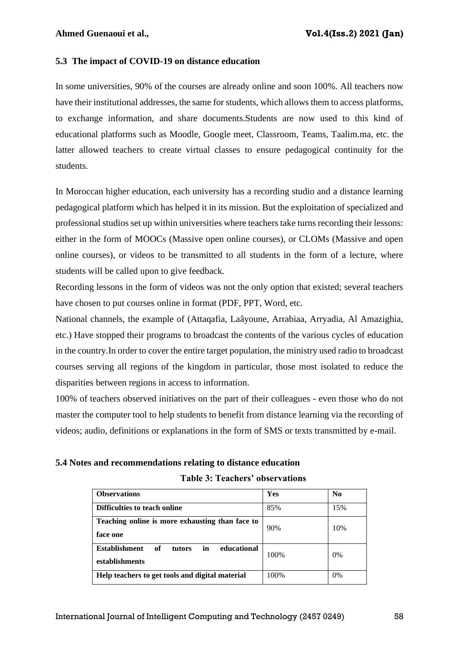## **5.3 The impact of COVID-19 on distance education**

In some universities, 90% of the courses are already online and soon 100%. All teachers now have their institutional addresses, the same for students, which allows them to access platforms, to exchange information, and share documents.Students are now used to this kind of educational platforms such as Moodle, Google meet, Classroom, Teams, Taalim.ma, etc. the latter allowed teachers to create virtual classes to ensure pedagogical continuity for the students.

In Moroccan higher education, each university has a recording studio and a distance learning pedagogical platform which has helped it in its mission. But the exploitation of specialized and professional studios set up within universities where teachers take turns recording their lessons: either in the form of MOOCs (Massive open online courses), or CLOMs (Massive and open online courses), or videos to be transmitted to all students in the form of a lecture, where students will be called upon to give feedback.

Recording lessons in the form of videos was not the only option that existed; several teachers have chosen to put courses online in format (PDF, PPT, Word, etc.

National channels, the example of (Attaqafia, Laâyoune, Arrabiaa, Arryadia, Al Amazighia, etc.) Have stopped their programs to broadcast the contents of the various cycles of education in the country.In order to cover the entire target population, the ministry used radio to broadcast courses serving all regions of the kingdom in particular, those most isolated to reduce the disparities between regions in access to information.

100% of teachers observed initiatives on the part of their colleagues - even those who do not master the computer tool to help students to benefit from distance learning via the recording of videos; audio, definitions or explanations in the form of SMS or texts transmitted by e-mail.

#### **5.4 Notes and recommendations relating to distance education**

| <b>Observations</b>                                                         | Yes  | $\bf No$ |
|-----------------------------------------------------------------------------|------|----------|
| Difficulties to teach online                                                | 85%  | 15%      |
| Teaching online is more exhausting than face to<br>face one                 | 90%  | 10%      |
| in<br>educational<br><b>Establishment</b><br>оf<br>tutors<br>establishments | 100% | 0%       |
| Help teachers to get tools and digital material                             | 100% | 0%       |

#### **Table 3: Teachers' observations**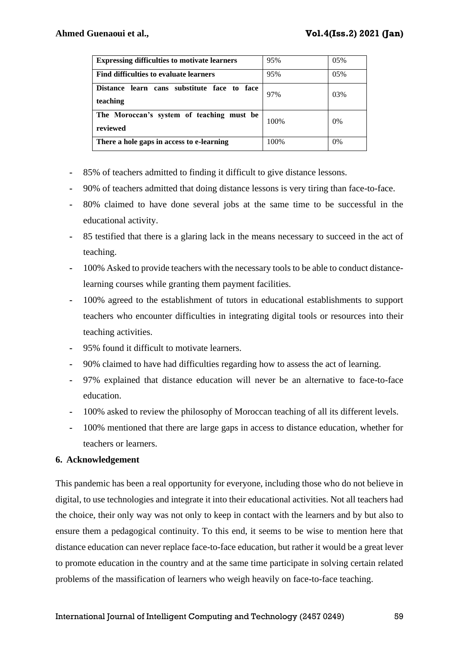| <b>Expressing difficulties to motivate learners</b>               | 95%  | 05% |
|-------------------------------------------------------------------|------|-----|
| Find difficulties to evaluate learners                            | 95%  | 05% |
| learn cans substitute face to face<br><b>Distance</b><br>teaching | 97%  | 03% |
| The Moroccan's system of teaching must be<br>reviewed             | 100% | 0%  |
| There a hole gaps in access to e-learning                         | 100% | 0%  |

- **-** 85% of teachers admitted to finding it difficult to give distance lessons.
- **-** 90% of teachers admitted that doing distance lessons is very tiring than face-to-face.
- **-** 80% claimed to have done several jobs at the same time to be successful in the educational activity.
- **-** 85 testified that there is a glaring lack in the means necessary to succeed in the act of teaching.
- **-** 100% Asked to provide teachers with the necessary tools to be able to conduct distancelearning courses while granting them payment facilities.
- **-** 100% agreed to the establishment of tutors in educational establishments to support teachers who encounter difficulties in integrating digital tools or resources into their teaching activities.
- **-** 95% found it difficult to motivate learners.
- **-** 90% claimed to have had difficulties regarding how to assess the act of learning.
- **-** 97% explained that distance education will never be an alternative to face-to-face education.
- **-** 100% asked to review the philosophy of Moroccan teaching of all its different levels.
- **-** 100% mentioned that there are large gaps in access to distance education, whether for teachers or learners.

## **6. Acknowledgement**

This pandemic has been a real opportunity for everyone, including those who do not believe in digital, to use technologies and integrate it into their educational activities. Not all teachers had the choice, their only way was not only to keep in contact with the learners and by but also to ensure them a pedagogical continuity. To this end, it seems to be wise to mention here that distance education can never replace face-to-face education, but rather it would be a great lever to promote education in the country and at the same time participate in solving certain related problems of the massification of learners who weigh heavily on face-to-face teaching.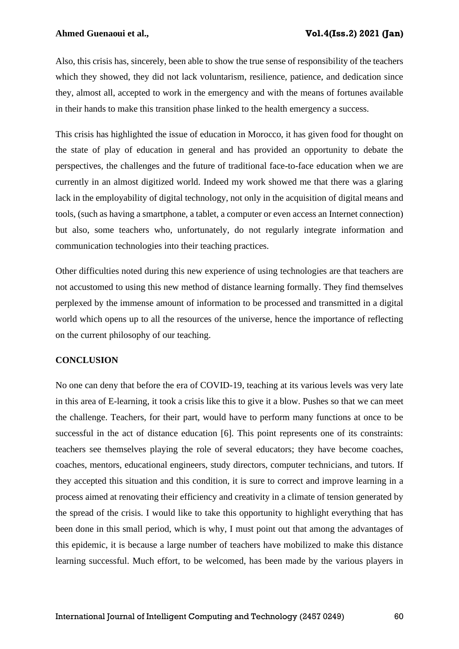Also, this crisis has, sincerely, been able to show the true sense of responsibility of the teachers which they showed, they did not lack voluntarism, resilience, patience, and dedication since they, almost all, accepted to work in the emergency and with the means of fortunes available in their hands to make this transition phase linked to the health emergency a success.

This crisis has highlighted the issue of education in Morocco, it has given food for thought on the state of play of education in general and has provided an opportunity to debate the perspectives, the challenges and the future of traditional face-to-face education when we are currently in an almost digitized world. Indeed my work showed me that there was a glaring lack in the employability of digital technology, not only in the acquisition of digital means and tools, (such as having a smartphone, a tablet, a computer or even access an Internet connection) but also, some teachers who, unfortunately, do not regularly integrate information and communication technologies into their teaching practices.

Other difficulties noted during this new experience of using technologies are that teachers are not accustomed to using this new method of distance learning formally. They find themselves perplexed by the immense amount of information to be processed and transmitted in a digital world which opens up to all the resources of the universe, hence the importance of reflecting on the current philosophy of our teaching.

## **CONCLUSION**

No one can deny that before the era of COVID-19, teaching at its various levels was very late in this area of E-learning, it took a crisis like this to give it a blow. Pushes so that we can meet the challenge. Teachers, for their part, would have to perform many functions at once to be successful in the act of distance education [6]. This point represents one of its constraints: teachers see themselves playing the role of several educators; they have become coaches, coaches, mentors, educational engineers, study directors, computer technicians, and tutors. If they accepted this situation and this condition, it is sure to correct and improve learning in a process aimed at renovating their efficiency and creativity in a climate of tension generated by the spread of the crisis. I would like to take this opportunity to highlight everything that has been done in this small period, which is why, I must point out that among the advantages of this epidemic, it is because a large number of teachers have mobilized to make this distance learning successful. Much effort, to be welcomed, has been made by the various players in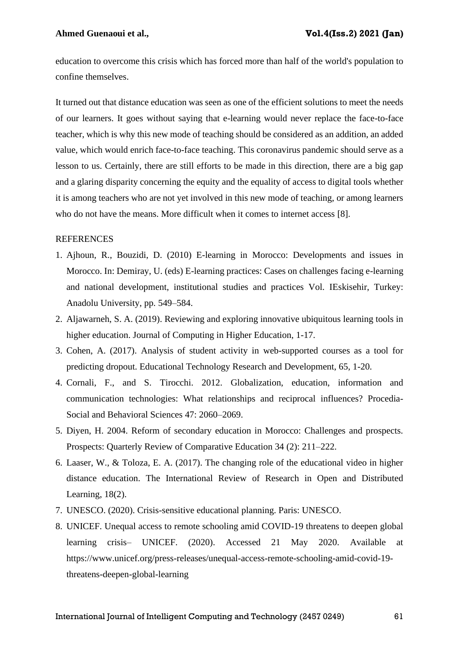education to overcome this crisis which has forced more than half of the world's population to confine themselves.

It turned out that distance education was seen as one of the efficient solutions to meet the needs of our learners. It goes without saying that e-learning would never replace the face-to-face teacher, which is why this new mode of teaching should be considered as an addition, an added value, which would enrich face-to-face teaching. This coronavirus pandemic should serve as a lesson to us. Certainly, there are still efforts to be made in this direction, there are a big gap and a glaring disparity concerning the equity and the equality of access to digital tools whether it is among teachers who are not yet involved in this new mode of teaching, or among learners who do not have the means. More difficult when it comes to internet access [8].

#### **REFERENCES**

- 1. Ajhoun, R., Bouzidi, D. (2010) E-learning in Morocco: Developments and issues in Morocco. In: Demiray, U. (eds) E-learning practices: Cases on challenges facing e-learning and national development, institutional studies and practices Vol. IEskisehir, Turkey: Anadolu University, pp. 549–584.
- 2. Aljawarneh, S. A. (2019). Reviewing and exploring innovative ubiquitous learning tools in higher education. Journal of Computing in Higher Education, 1-17.
- 3. Cohen, A. (2017). Analysis of student activity in web-supported courses as a tool for predicting dropout. Educational Technology Research and Development, 65, 1-20.
- 4. Cornali, F., and S. Tirocchi. 2012. Globalization, education, information and communication technologies: What relationships and reciprocal influences? Procedia-Social and Behavioral Sciences 47: 2060–2069.
- 5. Diyen, H. 2004. Reform of secondary education in Morocco: Challenges and prospects. Prospects: Quarterly Review of Comparative Education 34 (2): 211–222.
- 6. Laaser, W., & Toloza, E. A. (2017). The changing role of the educational video in higher distance education. The International Review of Research in Open and Distributed Learning, 18(2).
- 7. UNESCO. (2020). Crisis-sensitive educational planning. Paris: UNESCO.
- 8. UNICEF. Unequal access to remote schooling amid COVID-19 threatens to deepen global learning crisis– UNICEF. (2020). Accessed 21 May 2020. Available at https://www.unicef.org/press-releases/unequal-access-remote-schooling-amid-covid-19 threatens-deepen-global-learning